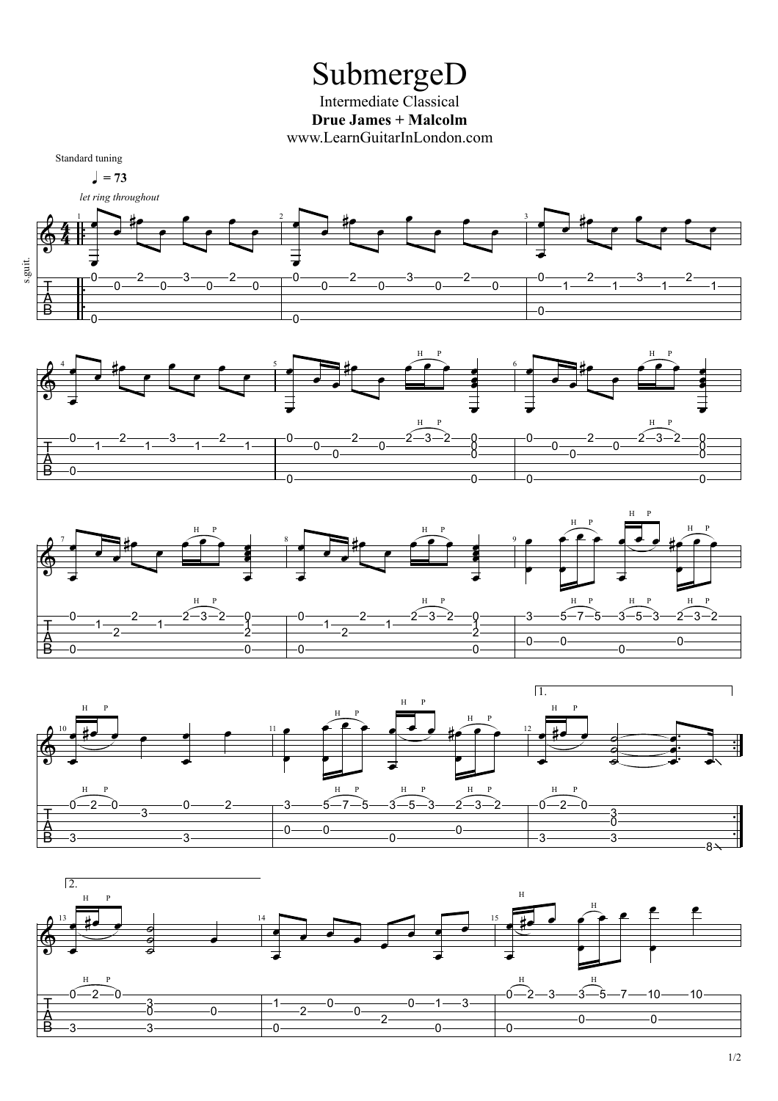## SubmergeD

Intermediate Classical **Drue James + Malcolm** www.LearnGuitarInLondon.com